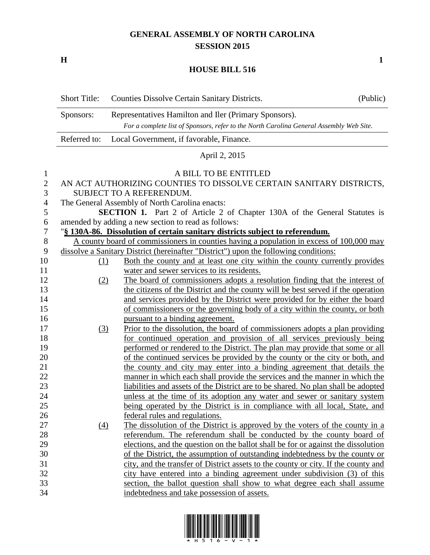## **GENERAL ASSEMBLY OF NORTH CAROLINA SESSION 2015**

**H 1**

## **HOUSE BILL 516**

|               | <b>Short Title:</b> | Counties Dissolve Certain Sanitary Districts.                                            | (Public) |
|---------------|---------------------|------------------------------------------------------------------------------------------|----------|
|               | Sponsors:           | Representatives Hamilton and Iler (Primary Sponsors).                                    |          |
|               |                     | For a complete list of Sponsors, refer to the North Carolina General Assembly Web Site.  |          |
|               | Referred to:        | Local Government, if favorable, Finance.                                                 |          |
|               |                     | April 2, 2015                                                                            |          |
| $\bf{l}$      |                     | A BILL TO BE ENTITLED                                                                    |          |
| $\mathbf{2}$  |                     | AN ACT AUTHORIZING COUNTIES TO DISSOLVE CERTAIN SANITARY DISTRICTS,                      |          |
| 3             |                     | SUBJECT TO A REFERENDUM.                                                                 |          |
| 4             |                     | The General Assembly of North Carolina enacts:                                           |          |
| $\mathfrak s$ |                     | SECTION 1. Part 2 of Article 2 of Chapter 130A of the General Statutes is                |          |
| 6             |                     | amended by adding a new section to read as follows:                                      |          |
| 7             |                     | "§ 130A-86. Dissolution of certain sanitary districts subject to referendum.             |          |
| 8             |                     | A county board of commissioners in counties having a population in excess of 100,000 may |          |
| 9             |                     | dissolve a Sanitary District (hereinafter "District") upon the following conditions:     |          |
| 10            | <u>(1)</u>          | Both the county and at least one city within the county currently provides               |          |
| 11            |                     | water and sewer services to its residents.                                               |          |
| 12            | (2)                 | The board of commissioners adopts a resolution finding that the interest of              |          |
| 13            |                     | the citizens of the District and the county will be best served if the operation         |          |
| 14            |                     | and services provided by the District were provided for by either the board              |          |
| 15            |                     | of commissioners or the governing body of a city within the county, or both              |          |
| 16            |                     | pursuant to a binding agreement.                                                         |          |
| 17            | (3)                 | Prior to the dissolution, the board of commissioners adopts a plan providing             |          |
| 18            |                     | for continued operation and provision of all services previously being                   |          |
| 19            |                     | performed or rendered to the District. The plan may provide that some or all             |          |
| 20            |                     | of the continued services be provided by the county or the city or both, and             |          |
| 21            |                     | the county and city may enter into a binding agreement that details the                  |          |
| 22            |                     | manner in which each shall provide the services and the manner in which the              |          |
| 23            |                     | liabilities and assets of the District are to be shared. No plan shall be adopted        |          |
| 24            |                     | unless at the time of its adoption any water and sewer or sanitary system                |          |
| 25            |                     | being operated by the District is in compliance with all local, State, and               |          |
| 26            |                     | federal rules and regulations.                                                           |          |
| 27            | (4)                 | The dissolution of the District is approved by the voters of the county in a             |          |
| 28            |                     | referendum. The referendum shall be conducted by the county board of                     |          |
| 29            |                     | elections, and the question on the ballot shall be for or against the dissolution        |          |
| 30            |                     | of the District, the assumption of outstanding indebtedness by the county or             |          |
| 31            |                     | city, and the transfer of District assets to the county or city. If the county and       |          |
| 32            |                     | city have entered into a binding agreement under subdivision (3) of this                 |          |
| 33            |                     | section, the ballot question shall show to what degree each shall assume                 |          |
| 34            |                     | indebtedness and take possession of assets.                                              |          |